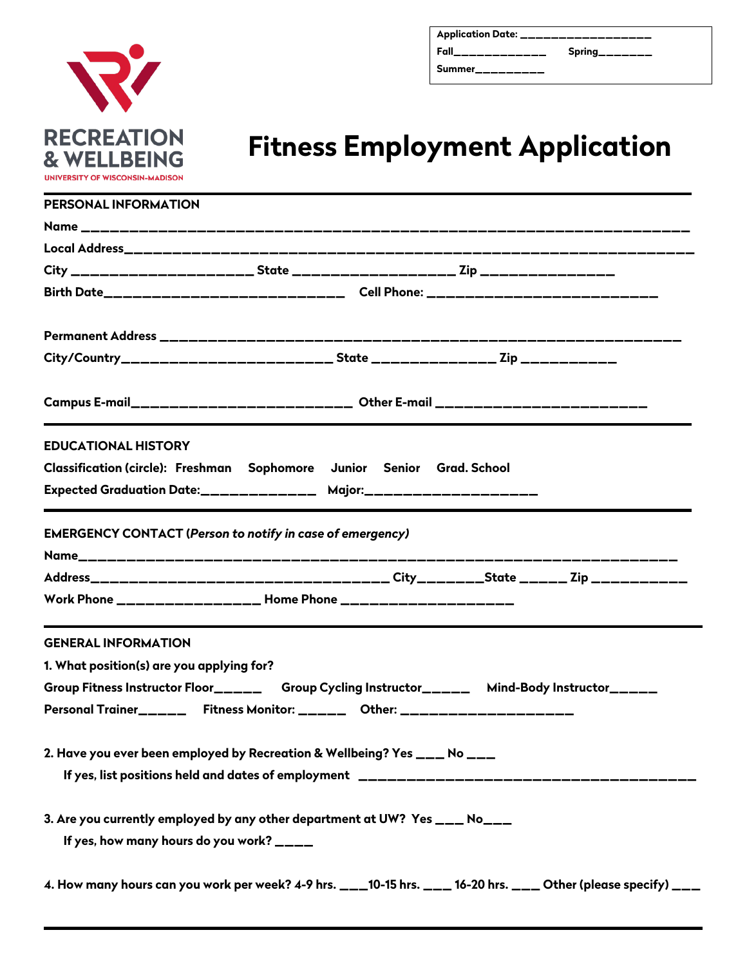

| Application Date: _________________ |                               |
|-------------------------------------|-------------------------------|
| Fall______________                  | $Spring$ <sub>_______</sub> _ |
| Summer__________                    |                               |

## **Fitness Employment Application**

| PERSONAL INFORMATION                                                                                          |
|---------------------------------------------------------------------------------------------------------------|
|                                                                                                               |
|                                                                                                               |
|                                                                                                               |
| Birth Date_______________________________Cell Phone: __________________________                               |
|                                                                                                               |
|                                                                                                               |
| Campus E-mail_________________________ Other E-mail __________________________                                |
| <b>EDUCATIONAL HISTORY</b>                                                                                    |
| Classification (circle): Freshman Sophomore Junior Senior Grad. School                                        |
| Expected Graduation Date:________________ Major:____________________                                          |
| <b>EMERGENCY CONTACT (Person to notify in case of emergency)</b>                                              |
|                                                                                                               |
|                                                                                                               |
| <b>GENERAL INFORMATION</b>                                                                                    |
| 1. What position(s) are you applying for?                                                                     |
| Group Fitness Instructor Floor______ Group Cycling Instructor______ Mind-Body Instructor_____                 |
|                                                                                                               |
| 2. Have you ever been employed by Recreation & Wellbeing? Yes ___ No ___                                      |
|                                                                                                               |
| 3. Are you currently employed by any other department at UW? Yes ___ No___                                    |
| If yes, how many hours do you work? ____                                                                      |
| 4. How many hours can you work per week? 4-9 hrs. ___10-15 hrs. ___ 16-20 hrs. ___ Other (please specify) ___ |